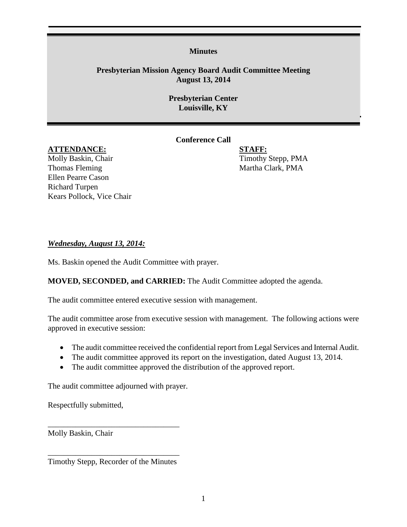#### **Minutes**

# **Presbyterian Mission Agency Board Audit Committee Meeting August 13, 2014**

## **Presbyterian Center Louisville, KY**

# **Conference Call**

### **ATTENDANCE: STAFF:**

Molly Baskin, Chair Timothy Stepp, PMA Thomas Fleming Thomas Fleming and the Martha Clark, PMA Ellen Pearre Cason Richard Turpen Kears Pollock, Vice Chair

## *Wednesday, August 13, 2014:*

Ms. Baskin opened the Audit Committee with prayer.

## **MOVED, SECONDED, and CARRIED:** The Audit Committee adopted the agenda.

The audit committee entered executive session with management.

The audit committee arose from executive session with management. The following actions were approved in executive session:

- The audit committee received the confidential report from Legal Services and Internal Audit.
- The audit committee approved its report on the investigation, dated August 13, 2014.
- The audit committee approved the distribution of the approved report.

The audit committee adjourned with prayer.

Respectfully submitted,

Molly Baskin, Chair

\_\_\_\_\_\_\_\_\_\_\_\_\_\_\_\_\_\_\_\_\_\_\_\_\_\_\_\_\_\_\_\_\_ Timothy Stepp, Recorder of the Minutes

\_\_\_\_\_\_\_\_\_\_\_\_\_\_\_\_\_\_\_\_\_\_\_\_\_\_\_\_\_\_\_\_\_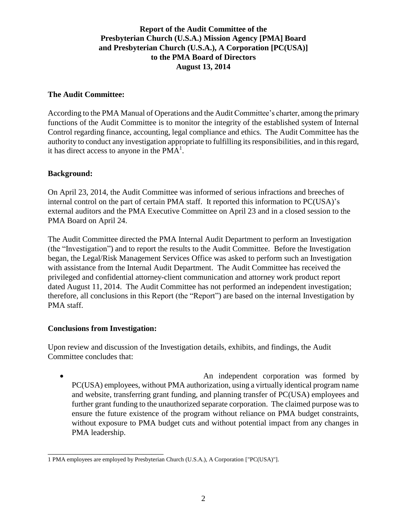# **Report of the Audit Committee of the Presbyterian Church (U.S.A.) Mission Agency [PMA] Board and Presbyterian Church (U.S.A.), A Corporation [PC(USA)] to the PMA Board of Directors August 13, 2014**

### **The Audit Committee:**

According to the PMA Manual of Operations and the Audit Committee's charter, among the primary functions of the Audit Committee is to monitor the integrity of the established system of Internal Control regarding finance, accounting, legal compliance and ethics. The Audit Committee has the authority to conduct any investigation appropriate to fulfilling its responsibilities, and in this regard, it has direct access to anyone in the  $PMA<sup>1</sup>$ .

#### **Background:**

On April 23, 2014, the Audit Committee was informed of serious infractions and breeches of internal control on the part of certain PMA staff. It reported this information to PC(USA)'s external auditors and the PMA Executive Committee on April 23 and in a closed session to the PMA Board on April 24.

The Audit Committee directed the PMA Internal Audit Department to perform an Investigation (the "Investigation") and to report the results to the Audit Committee. Before the Investigation began, the Legal/Risk Management Services Office was asked to perform such an Investigation with assistance from the Internal Audit Department. The Audit Committee has received the privileged and confidential attorney-client communication and attorney work product report dated August 11, 2014. The Audit Committee has not performed an independent investigation; therefore, all conclusions in this Report (the "Report") are based on the internal Investigation by PMA staff.

## **Conclusions from Investigation:**

\_\_\_\_\_\_\_\_\_\_\_\_\_\_\_\_\_\_\_\_\_\_\_\_\_\_\_\_\_

Upon review and discussion of the Investigation details, exhibits, and findings, the Audit Committee concludes that:

 An independent corporation was formed by PC(USA) employees, without PMA authorization, using a virtually identical program name and website, transferring grant funding, and planning transfer of PC(USA) employees and further grant funding to the unauthorized separate corporation. The claimed purpose was to ensure the future existence of the program without reliance on PMA budget constraints, without exposure to PMA budget cuts and without potential impact from any changes in PMA leadership.

<sup>1</sup> PMA employees are employed by Presbyterian Church (U.S.A.), A Corporation ["PC(USA)"].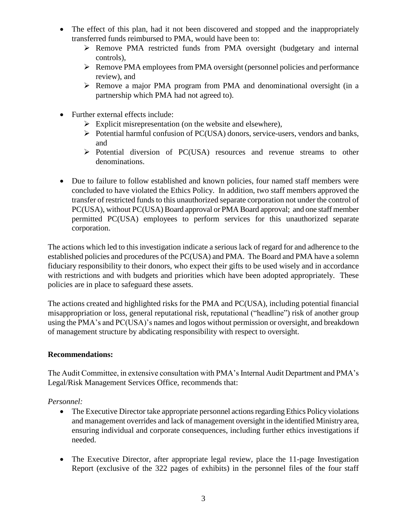- The effect of this plan, had it not been discovered and stopped and the inappropriately transferred funds reimbursed to PMA, would have been to:
	- Remove PMA restricted funds from PMA oversight (budgetary and internal controls),
	- Remove PMA employees from PMA oversight (personnel policies and performance review), and
	- Remove a major PMA program from PMA and denominational oversight (in a partnership which PMA had not agreed to).
- Further external effects include:
	- $\triangleright$  Explicit misrepresentation (on the website and elsewhere),
	- $\triangleright$  Potential harmful confusion of PC(USA) donors, service-users, vendors and banks, and
	- Potential diversion of PC(USA) resources and revenue streams to other denominations.
- Due to failure to follow established and known policies, four named staff members were concluded to have violated the Ethics Policy. In addition, two staff members approved the transfer of restricted funds to this unauthorized separate corporation not under the control of PC(USA), without PC(USA) Board approval or PMA Board approval; and one staff member permitted PC(USA) employees to perform services for this unauthorized separate corporation.

The actions which led to this investigation indicate a serious lack of regard for and adherence to the established policies and procedures of the PC(USA) and PMA. The Board and PMA have a solemn fiduciary responsibility to their donors, who expect their gifts to be used wisely and in accordance with restrictions and with budgets and priorities which have been adopted appropriately. These policies are in place to safeguard these assets.

The actions created and highlighted risks for the PMA and PC(USA), including potential financial misappropriation or loss, general reputational risk, reputational ("headline") risk of another group using the PMA's and PC(USA)'s names and logos without permission or oversight, and breakdown of management structure by abdicating responsibility with respect to oversight.

## **Recommendations:**

The Audit Committee, in extensive consultation with PMA's Internal Audit Department and PMA's Legal/Risk Management Services Office, recommends that:

*Personnel:*

- The Executive Director take appropriate personnel actions regarding Ethics Policy violations and management overrides and lack of management oversight in the identified Ministry area, ensuring individual and corporate consequences, including further ethics investigations if needed.
- The Executive Director, after appropriate legal review, place the 11-page Investigation Report (exclusive of the 322 pages of exhibits) in the personnel files of the four staff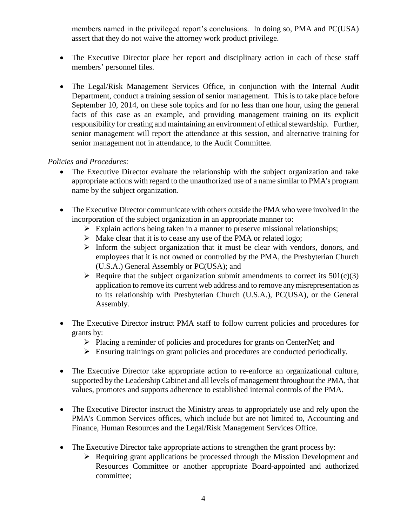members named in the privileged report's conclusions. In doing so, PMA and PC(USA) assert that they do not waive the attorney work product privilege.

- The Executive Director place her report and disciplinary action in each of these staff members' personnel files.
- The Legal/Risk Management Services Office, in conjunction with the Internal Audit Department, conduct a training session of senior management. This is to take place before September 10, 2014, on these sole topics and for no less than one hour, using the general facts of this case as an example, and providing management training on its explicit responsibility for creating and maintaining an environment of ethical stewardship. Further, senior management will report the attendance at this session, and alternative training for senior management not in attendance, to the Audit Committee.

## *Policies and Procedures:*

- The Executive Director evaluate the relationship with the subject organization and take appropriate actions with regard to the unauthorized use of a name similar to PMA's program name by the subject organization.
- The Executive Director communicate with others outside the PMA who were involved in the incorporation of the subject organization in an appropriate manner to:
	- $\triangleright$  Explain actions being taken in a manner to preserve missional relationships;
	- $\triangleright$  Make clear that it is to cease any use of the PMA or related logo;
	- $\triangleright$  Inform the subject organization that it must be clear with vendors, donors, and employees that it is not owned or controlled by the PMA, the Presbyterian Church (U.S.A.) General Assembly or PC(USA); and
	- $\triangleright$  Require that the subject organization submit amendments to correct its 501(c)(3) application to remove its current web address and to remove any misrepresentation as to its relationship with Presbyterian Church (U.S.A.), PC(USA), or the General Assembly.
- The Executive Director instruct PMA staff to follow current policies and procedures for grants by:
	- Placing a reminder of policies and procedures for grants on CenterNet; and
	- $\triangleright$  Ensuring trainings on grant policies and procedures are conducted periodically.
- The Executive Director take appropriate action to re-enforce an organizational culture, supported by the Leadership Cabinet and all levels of management throughout the PMA, that values, promotes and supports adherence to established internal controls of the PMA.
- The Executive Director instruct the Ministry areas to appropriately use and rely upon the PMA's Common Services offices, which include but are not limited to, Accounting and Finance, Human Resources and the Legal/Risk Management Services Office.
- The Executive Director take appropriate actions to strengthen the grant process by:
	- $\triangleright$  Requiring grant applications be processed through the Mission Development and Resources Committee or another appropriate Board-appointed and authorized committee;